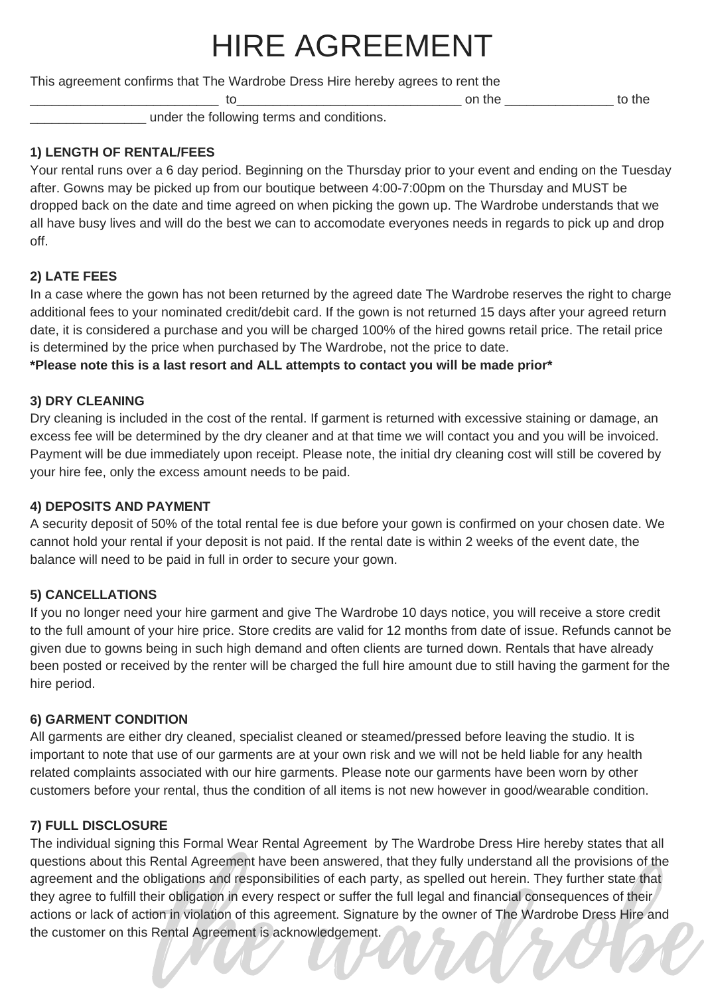# HIRE AGREEMENT

This agreement confirms that The Wardrobe Dress Hire hereby agrees to rent the

to the control on the control of the control of the control of the control of the control of the control of the control of the control of the control of the control of the control of the control of the control of the contr

under the following terms and conditions.

#### **1) LENGTH OF RENTAL/FEES**

Your rental runs over a 6 day period. Beginning on the Thursday prior to your event and ending on the Tuesday after. Gowns may be picked up from our boutique between 4:00-7:00pm on the Thursday and MUST be dropped back on the date and time agreed on when picking the gown up. The Wardrobe understands that we all have busy lives and will do the best we can to accomodate everyones needs in regards to pick up and drop off.

#### **2) LATE FEES**

In a case where the gown has not been returned by the agreed date The Wardrobe reserves the right to charge additional fees to your nominated credit/debit card. If the gown is not returned 15 days after your agreed return date, it is considered a purchase and you will be charged 100% of the hired gowns retail price. The retail price is determined by the price when purchased by The Wardrobe, not the price to date.

**\*Please note this is a last resort and ALL attempts to contact you will be made prior\***

#### **3) DRY CLEANING**

Dry cleaning is included in the cost of the rental. If garment is returned with excessive staining or damage, an excess fee will be determined by the dry cleaner and at that time we will contact you and you will be invoiced. Payment will be due immediately upon receipt. Please note, the initial dry cleaning cost will still be covered by your hire fee, only the excess amount needs to be paid.

#### **4) DEPOSITS AND PAYMENT**

A security deposit of 50% of the total rental fee is due before your gown is confirmed on your chosen date. We cannot hold your rental if your deposit is not paid. If the rental date is within 2 weeks of the event date, the balance will need to be paid in full in order to secure your gown.

#### **5) CANCELLATIONS**

If you no longer need your hire garment and give The Wardrobe 10 days notice, you will receive a store credit to the full amount of your hire price. Store credits are valid for 12 months from date of issue. Refunds cannot be given due to gowns being in such high demand and often clients are turned down. Rentals that have already been posted or received by the renter will be charged the full hire amount due to still having the garment for the hire period.

#### **6) GARMENT CONDITION**

All garments are either dry cleaned, specialist cleaned or steamed/pressed before leaving the studio. It is important to note that use of our garments are at your own risk and we will not be held liable for any health related complaints associated with our hire garments. Please note our garments have been worn by other customers before your rental, thus the condition of all items is not new however in good/wearable condition.

#### **7) FULL DISCLOSURE**

on in the ward and responsibilities of each party, as spelled out herein. They further state that irr obligation in every respect or suffer the full legal and financial consequences of their on in violation of this agreeme The individual signing this Formal Wear Rental Agreement by The Wardrobe Dress Hire hereby states that all questions about this Rental Agreement have been answered, that they fully understand all the provisions of the agreement and the obligations and responsibilities of each party, as spelled out herein. They further state that they agree to fulfill their obligation in every respect or suffer the full legal and financial consequences of their actions or lack of action in violation of this agreement. Signature by the owner of The Wardrobe Dress Hire and the customer on this Rental Agreement is acknowledgement.